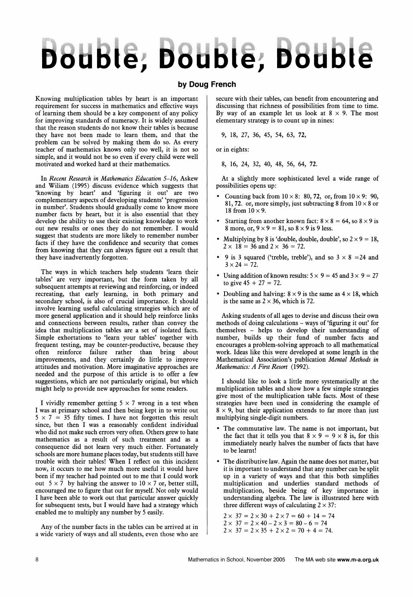## Double, Double, Double

## by Doug French

 Knowing multiplication tables by heart is an important requirement for success in mathematics and effective ways of learning them should be a key component of any policy for improving standards of numeracy. It is widely assumed that the reason students do not know their tables is because they have not been made to learn them, and that the problem can be solved by making them do so. As every teacher of mathematics knows only too well, it is not so simple, and it would not be so even if every child were well motivated and worked hard at their mathematics.

 In Recent Research in Mathematics Education 5-16, Askew and Wiliam (1995) discuss evidence which suggests that 'knowing by heart' and 'figuring it out' are two complementary aspects of developing students' 'progression in number'. Students should gradually come to know more number facts by heart, but it is also essential that they develop the ability to use their existing knowledge to work out new results or ones they do not remember. I would suggest that students are more likely to remember number facts if they have the confidence and security that comes from knowing that they can always figure out a result that they have inadvertently forgotten.

 The ways in which teachers help students 'learn their tables' are very important, but the form taken by all subsequent attempts at reviewing and reinforcing, or indeed recreating, that early learning, in both primary and secondary school, is also of crucial importance. It should involve learning useful calculating strategies which are of more general application and it should help reinforce links and connections between results, rather than convey the idea that multiplication tables are a set of isolated facts. Simple exhortations to 'learn your tables' together with frequent testing, may be counter-productive, because they often reinforce failure rather than bring about improvements, and they certainly do little to improve attitudes and motivation. More imaginative approaches are needed and the purpose of this article is to offer a few suggestions, which are not particularly original, but which might help to provide new approaches for some readers.

I vividly remember getting  $5 \times 7$  wrong in a test when I was at primary school and then being kept in to write out  $5 \times 7 = 35$  fifty times. I have not forgotten this result since, but then I was a reasonably confident individual who did not make such errors very often. Others grew to hate mathematics as a result of such treatment and as a consequence did not learn very much either. Fortunately schools are more humane places today, but students still have trouble with their tables! When I reflect on this incident now, it occurs to me how much more useful it would have been if my teacher had pointed out to me that I could work out  $5 \times 7$  by halving the answer to  $10 \times 7$  or, better still, encouraged me to figure that out for myself. Not only would I have been able to work out that particular answer quickly for subsequent tests, but I would have had a strategy which enabled me to multiply any number by 5 easily.

 Any of the number facts in the tables can be arrived at in a wide variety of ways and all students, even those who are

 discussing that richness of possibilities from time to time. By way of an example let us look at  $8 \times 9$ . The most elementary strategy is to count up in nines:

9, 18, 27, 36, 45, 54, 63, 72,

or in eights:

8, 16, 24, 32, 40, 48, 56, 64, 72.

 At a slightly more sophisticated level a wide range of possibilities opens up:

- Counting back from  $10 \times 8$ : 80, 72, or, from  $10 \times 9$ : 90, 81, 72. or, more simply, just subtracting 8 from  $10 \times 8$  or 18 from  $10 \times 9$ .
- Starting from another known fact:  $8 \times 8 = 64$ , so  $8 \times 9$  is 8 more, or,  $9 \times 9 = 81$ , so  $8 \times 9$  is 9 less.
- Multiplying by 8 is 'double, double, double', so  $2 \times 9 = 18$ ,  $2 \times 18 = 36$  and  $2 \times 36 = 72$ .
- 9 is 3 squared ('treble, treble'), and so  $3 \times 8 = 24$  and  $3 \times 24 = 72$ .
- Using addition of known results:  $5 \times 9 = 45$  and  $3 \times 9 = 27$ to give  $45 + 27 = 72$ .
- Doubling and halving:  $8 \times 9$  is the same as  $4 \times 18$ , which is the same as  $2 \times 36$ , which is 72.

 Asking students of all ages to devise and discuss their own methods of doing calculations – ways of 'figuring it out' for themselves - helps to develop their understanding of number, builds up their fund of number facts and encourages a problem-solving approach to all mathematical work. Ideas like this were developed at some length in the Mathematical Association's publication Mental Methods in Mathematics: A First Resort (1992).

 I should like to look a little more systematically at the multiplication tables and show how a few simple strategies give most of the multiplication table facts. Most of these strategies have been used in considering the example of  $8 \times 9$ , but their application extends to far more than just multiplying single-digit numbers.

- The commutative law. The name is not important, but the fact that it tells you that  $8 \times 9 = 9 \times 8$  is, for this immediately nearly halves the number of facts that have to be learnt!
- The distributive law. Again the name does not matter, but it is important to understand that any number can be split up in a variety of ways and that this both simplifies multiplication and underlies standard methods of multiplication, beside being of key importance in understanding algebra. The law is illustrated here with three different ways of calculating  $2 \times 37$ :

 $2 \times 37 = 2 \times 30 + 2 \times 7 = 60 + 14 = 74$  $2 \times 37 = 2 \times 40 - 2 \times 3 = 80 - 6 = 74$  $2 \times 37 = 2 \times 35 + 2 \times 2 = 70 + 4 = 74.$